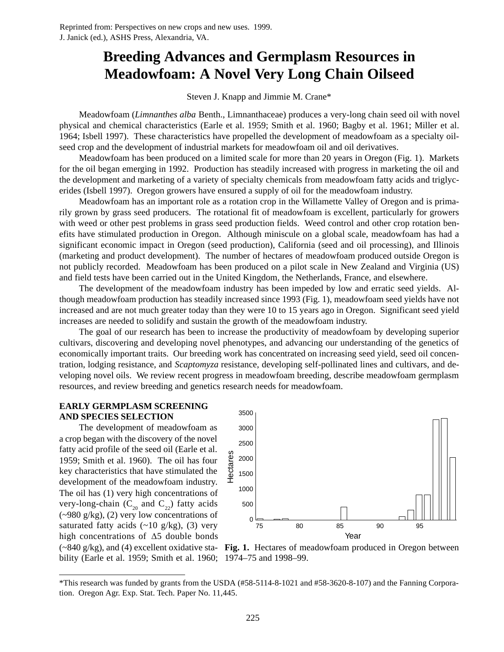# **Breeding Advances and Germplasm Resources in Meadowfoam: A Novel Very Long Chain Oilseed**

## Steven J. Knapp and Jimmie M. Crane\*

Meadowfoam (*Limnanthes alba* Benth., Limnanthaceae) produces a very-long chain seed oil with novel physical and chemical characteristics (Earle et al. 1959; Smith et al. 1960; Bagby et al. 1961; Miller et al. 1964; Isbell 1997). These characteristics have propelled the development of meadowfoam as a specialty oilseed crop and the development of industrial markets for meadowfoam oil and oil derivatives.

Meadowfoam has been produced on a limited scale for more than 20 years in Oregon (Fig. 1). Markets for the oil began emerging in 1992. Production has steadily increased with progress in marketing the oil and the development and marketing of a variety of specialty chemicals from meadowfoam fatty acids and triglycerides (Isbell 1997). Oregon growers have ensured a supply of oil for the meadowfoam industry.

Meadowfoam has an important role as a rotation crop in the Willamette Valley of Oregon and is primarily grown by grass seed producers. The rotational fit of meadowfoam is excellent, particularly for growers with weed or other pest problems in grass seed production fields. Weed control and other crop rotation benefits have stimulated production in Oregon. Although miniscule on a global scale, meadowfoam has had a significant economic impact in Oregon (seed production), California (seed and oil processing), and Illinois (marketing and product development). The number of hectares of meadowfoam produced outside Oregon is not publicly recorded. Meadowfoam has been produced on a pilot scale in New Zealand and Virginia (US) and field tests have been carried out in the United Kingdom, the Netherlands, France, and elsewhere.

The development of the meadowfoam industry has been impeded by low and erratic seed yields. Although meadowfoam production has steadily increased since 1993 (Fig. 1), meadowfoam seed yields have not increased and are not much greater today than they were 10 to 15 years ago in Oregon. Significant seed yield increases are needed to solidify and sustain the growth of the meadowfoam industry.

The goal of our research has been to increase the productivity of meadowfoam by developing superior cultivars, discovering and developing novel phenotypes, and advancing our understanding of the genetics of economically important traits. Our breeding work has concentrated on increasing seed yield, seed oil concentration, lodging resistance, and *Scaptomyza* resistance, developing self-pollinated lines and cultivars, and developing novel oils. We review recent progress in meadowfoam breeding, describe meadowfoam germplasm resources, and review breeding and genetics research needs for meadowfoam.

## **EARLY GERMPLASM SCREENING AND SPECIES SELECTION**

The development of meadowfoam as a crop began with the discovery of the novel fatty acid profile of the seed oil (Earle et al. 1959; Smith et al. 1960). The oil has four key characteristics that have stimulated the development of the meadowfoam industry. The oil has (1) very high concentrations of very-long-chain  $(C_{20}$  and  $C_{22})$  fatty acids  $(-980 \text{ g/kg})$ , (2) very low concentrations of saturated fatty acids  $(-10 \text{ g/kg})$ , (3) very high concentrations of  $\Delta$ 5 double bonds

3500 3000 2500 Hectares Hectares 2000 1500 1000 500  $0\frac{1}{75}$ 75
80
85
90
95 Year

bility (Earle et al. 1959; Smith et al. 1960; 1974–75 and 1998–99.



<sup>\*</sup>This research was funded by grants from the USDA (#58-5114-8-1021 and #58-3620-8-107) and the Fanning Corporation. Oregon Agr. Exp. Stat. Tech. Paper No. 11,445.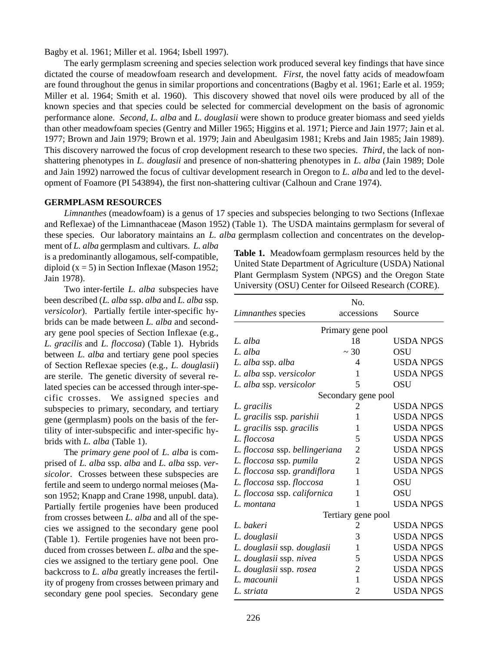Bagby et al. 1961; Miller et al. 1964; Isbell 1997).

The early germplasm screening and species selection work produced several key findings that have since dictated the course of meadowfoam research and development. *First*, the novel fatty acids of meadowfoam are found throughout the genus in similar proportions and concentrations (Bagby et al. 1961; Earle et al. 1959; Miller et al. 1964; Smith et al. 1960). This discovery showed that novel oils were produced by all of the known species and that species could be selected for commercial development on the basis of agronomic performance alone. *Second*, *L. alba* and *L. douglasii* were shown to produce greater biomass and seed yields than other meadowfoam species (Gentry and Miller 1965; Higgins et al. 1971; Pierce and Jain 1977; Jain et al. 1977; Brown and Jain 1979; Brown et al. 1979; Jain and Abeulgasim 1981; Krebs and Jain 1985; Jain 1989). This discovery narrowed the focus of crop development research to these two species. *Third*, the lack of nonshattering phenotypes in *L. douglasii* and presence of non-shattering phenotypes in *L. alba* (Jain 1989; Dole and Jain 1992) narrowed the focus of cultivar development research in Oregon to *L. alba* and led to the development of Foamore (PI 543894), the first non-shattering cultivar (Calhoun and Crane 1974).

#### **GERMPLASM RESOURCES**

*Limnanthes* (meadowfoam) is a genus of 17 species and subspecies belonging to two Sections (Inflexae and Reflexae) of the Limnanthaceae (Mason 1952) (Table 1). The USDA maintains germplasm for several of these species. Our laboratory maintains an *L. alba* germplasm collection and concentrates on the develop-

ment of *L. alba* germplasm and cultivars. *L. alba* is a predominantly allogamous, self-compatible, diploid  $(x = 5)$  in Section Inflexae (Mason 1952; Jain 1978).

Two inter-fertile *L. alba* subspecies have been described (*L. alba* ssp. *alba* and *L. alba* ssp. *versicolor*). Partially fertile inter-specific hybrids can be made between *L. alba* and secondary gene pool species of Section Inflexae (e.g., *L. gracilis* and *L. floccosa*) (Table 1). Hybrids between *L. alba* and tertiary gene pool species of Section Reflexae species (e.g., *L. douglasii*) are sterile. The genetic diversity of several related species can be accessed through inter-specific crosses. We assigned species and subspecies to primary, secondary, and tertiary gene (germplasm) pools on the basis of the fertility of inter-subspecific and inter-specific hybrids with *L. alba* (Table 1).

The *primary gene pool* of *L. alba* is comprised of *L. alba* ssp. *alba* and *L. alba* ssp. *versicolor*. Crosses between these subspecies are fertile and seem to undergo normal meioses (Mason 1952; Knapp and Crane 1998, unpubl. data). Partially fertile progenies have been produced from crosses between *L. alba* and all of the species we assigned to the secondary gene pool (Table 1). Fertile progenies have not been produced from crosses between *L. alba* and the species we assigned to the tertiary gene pool. One backcross to *L. alba* greatly increases the fertility of progeny from crosses between primary and secondary gene pool species. Secondary gene **Table 1.** Meadowfoam germplasm resources held by the United State Department of Agriculture (USDA) National Plant Germplasm System (NPGS) and the Oregon State University (OSU) Center for Oilseed Research (CORE).

|                                | No.                 |                  |
|--------------------------------|---------------------|------------------|
| <i>Limnanthes</i> species      | accessions          | Source           |
|                                | Primary gene pool   |                  |
| L. alba                        | 18                  | USDA NPGS        |
| L. alba                        | $\sim$ 30           | OSU              |
| L. alba ssp. alba              | 4                   | <b>USDA NPGS</b> |
| L. alba ssp. versicolor        | 1                   | <b>USDA NPGS</b> |
| L. alba ssp. versicolor        | 5                   | OSU              |
|                                | Secondary gene pool |                  |
| L. gracilis                    | 2                   | <b>USDA NPGS</b> |
| L. gracilis ssp. parishii      | 1                   | USDA NPGS        |
| L. gracilis ssp. gracilis      | 1                   | <b>USDA NPGS</b> |
| L. floccosa                    | 5                   | <b>USDA NPGS</b> |
| L. floccosa ssp. bellingeriana | $\overline{c}$      | <b>USDA NPGS</b> |
| L. floccosa ssp. pumila        | $\overline{2}$      | <b>USDA NPGS</b> |
| L. floccosa ssp. grandiflora   | 1                   | USDA NPGS        |
| L. floccosa ssp. floccosa      | 1                   | OSU              |
| L. floccosa ssp. californica   | 1                   | OSU              |
| L. montana                     | 1                   | <b>USDA NPGS</b> |
|                                | Tertiary gene pool  |                  |
| L. bakeri                      | 2                   | USDA NPGS        |
| L. douglasii                   | 3                   | USDA NPGS        |
| L. douglasii ssp. douglasii    | 1                   | USDA NPGS        |
| L. douglasii ssp. nivea        | 5                   | <b>USDA NPGS</b> |
| L. douglasii ssp. rosea        | $\overline{2}$      | USDA NPGS        |
| L. macounii                    | 1                   | USDA NPGS        |
| L. striata                     | 2                   | USDA NPGS        |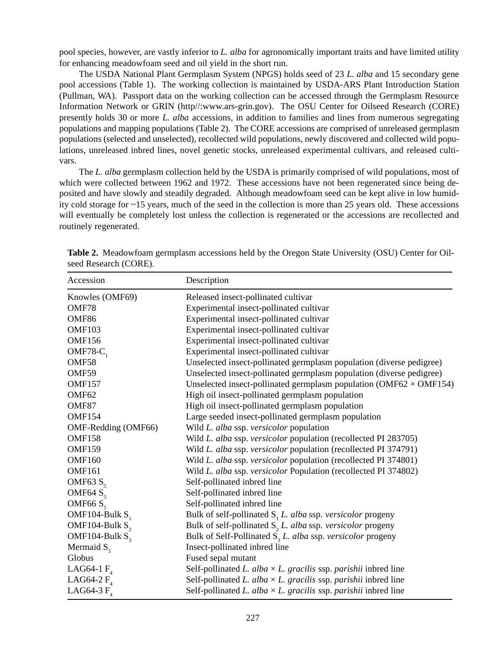pool species, however, are vastly inferior to *L. alba* for agronomically important traits and have limited utility for enhancing meadowfoam seed and oil yield in the short run.

The USDA National Plant Germplasm System (NPGS) holds seed of 23 *L. alba* and 15 secondary gene pool accessions (Table 1). The working collection is maintained by USDA-ARS Plant Introduction Station (Pullman, WA). Passport data on the working collection can be accessed through the Germplasm Resource Information Network or GRIN (http//:www.ars-grin.gov). The OSU Center for Oilseed Research (CORE) presently holds 30 or more *L. alba* accessions, in addition to families and lines from numerous segregating populations and mapping populations (Table 2). The CORE accessions are comprised of unreleased germplasm populations (selected and unselected), recollected wild populations, newly discovered and collected wild populations, unreleased inbred lines, novel genetic stocks, unreleased experimental cultivars, and released cultivars.

The *L. alba* germplasm collection held by the USDA is primarily comprised of wild populations, most of which were collected between 1962 and 1972. These accessions have not been regenerated since being deposited and have slowly and steadily degraded. Although meadowfoam seed can be kept alive in low humidity cold storage for ~15 years, much of the seed in the collection is more than 25 years old. These accessions will eventually be completely lost unless the collection is regenerated or the accessions are recollected and routinely regenerated.

| Accession           | Description                                                                            |  |
|---------------------|----------------------------------------------------------------------------------------|--|
| Knowles (OMF69)     | Released insect-pollinated cultivar                                                    |  |
| OMF78               | Experimental insect-pollinated cultivar                                                |  |
| OMF86               | Experimental insect-pollinated cultivar                                                |  |
| OMF103              | Experimental insect-pollinated cultivar                                                |  |
| <b>OMF156</b>       | Experimental insect-pollinated cultivar                                                |  |
| OMF78- $C_1$        | Experimental insect-pollinated cultivar                                                |  |
| OMF58               | Unselected insect-pollinated germplasm population (diverse pedigree)                   |  |
| OMF59               | Unselected insect-pollinated germplasm population (diverse pedigree)                   |  |
| <b>OMF157</b>       | Unselected insect-pollinated germplasm population ( $OMF62 \times OMF154$ )            |  |
| OMF <sub>62</sub>   | High oil insect-pollinated germplasm population                                        |  |
| OMF87               | High oil insect-pollinated germplasm population                                        |  |
| <b>OMF154</b>       | Large seeded insect-pollinated germplasm population                                    |  |
| OMF-Redding (OMF66) | Wild L. alba ssp. versicolor population                                                |  |
| <b>OMF158</b>       | Wild L. alba ssp. versicolor population (recollected PI 283705)                        |  |
| <b>OMF159</b>       | Wild L. alba ssp. versicolor population (recollected PI 374791)                        |  |
| OMF160              | Wild L. alba ssp. versicolor population (recollected PI 374801)                        |  |
| <b>OMF161</b>       | Wild L. alba ssp. versicolor Population (recollected PI 374802)                        |  |
| OMF63 $S5$          | Self-pollinated inbred line                                                            |  |
| OMF64 $Ss$          | Self-pollinated inbred line                                                            |  |
| OMF66 $S5$          | Self-pollinated inbred line                                                            |  |
| OMF104-Bulk S       | Bulk of self-pollinated $S1L$ . alba ssp. versicolor progeny                           |  |
| OMF104-Bulk $S_2$   | Bulk of self-pollinated $S$ , <i>L. alba</i> ssp. <i>versicolor</i> progeny            |  |
| OMF104-Bulk $S_3$   | Bulk of Self-Pollinated $S$ <sub>3</sub> <i>L. alba</i> ssp. <i>versicolor</i> progeny |  |
| Mermaid $S_{\zeta}$ | Insect-pollinated inbred line                                                          |  |
| Globus              | Fused sepal mutant                                                                     |  |
| LAG64-1 $F4$        | Self-pollinated L. alba $\times$ L. gracilis ssp. parishii inbred line                 |  |
| LAG64-2 $F4$        | Self-pollinated L. alba $\times$ L. gracilis ssp. parishii inbred line                 |  |
| LAG64-3 $F4$        | Self-pollinated L. alba $\times$ L. gracilis ssp. parishii inbred line                 |  |

**Table 2.** Meadowfoam germplasm accessions held by the Oregon State University (OSU) Center for Oilseed Research (CORE).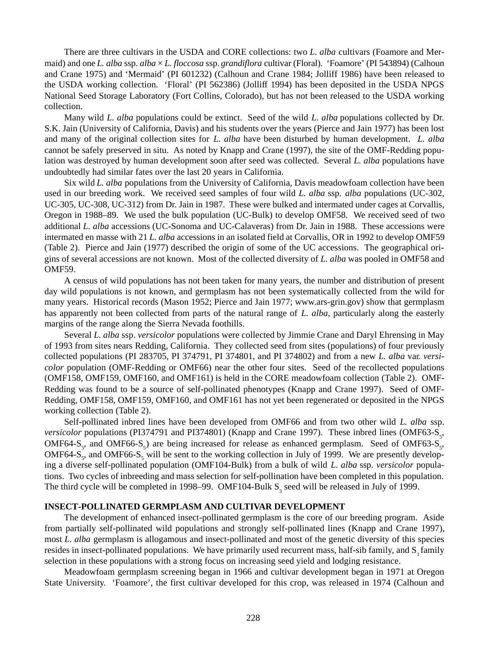There are three cultivars in the USDA and CORE collections: two *L. alba* cultivars (Foamore and Mermaid) and one *L. alba* ssp. *alba* × *L. floccosa* ssp. *grandiflora* cultivar (Floral). 'Foamore' (PI 543894) (Calhoun and Crane 1975) and 'Mermaid' (PI 601232) (Calhoun and Crane 1984; Jolliff 1986) have been released to the USDA working collection. 'Floral' (PI 562386) (Jolliff 1994) has been deposited in the USDA NPGS National Seed Storage Laboratory (Fort Collins, Colorado), but has not been released to the USDA working collection.

Many wild *L. alba* populations could be extinct. Seed of the wild *L. alba* populations collected by Dr. S.K. Jain (University of California, Davis) and his students over the years (Pierce and Jain 1977) has been lost and many of the original collection sites for *L. alba* have been disturbed by human development. *L. alba* cannot be safely preserved in situ. As noted by Knapp and Crane (1997), the site of the OMF-Redding population was destroyed by human development soon after seed was collected. Several *L. alba* populations have undoubtedly had similar fates over the last 20 years in California.

Six wild *L. alba* populations from the University of California, Davis meadowfoam collection have been used in our breeding work. We received seed samples of four wild *L. alba* ssp. *alba* populations (UC-302, UC-305, UC-308, UC-312) from Dr. Jain in 1987. These were bulked and intermated under cages at Corvallis, Oregon in 1988–89. We used the bulk population (UC-Bulk) to develop OMF58. We received seed of two additional *L. alba* accessions (UC-Sonoma and UC-Calaveras) from Dr. Jain in 1988. These accessions were intermated en masse with 21 *L. alba* accessions in an isolated field at Corvallis, OR in 1992 to develop OMF59 (Table 2). Pierce and Jain (1977) described the origin of some of the UC accessions. The geographical origins of several accessions are not known. Most of the collected diversity of *L. alba* was pooled in OMF58 and OMF59.

A census of wild populations has not been taken for many years, the number and distribution of present day wild populations is not known, and germplasm has not been systematically collected from the wild for many years. Historical records (Mason 1952; Pierce and Jain 1977; www.ars-grin.gov) show that germplasm has apparently not been collected from parts of the natural range of *L. alba*, particularly along the easterly margins of the range along the Sierra Nevada foothills.

Several *L. alba* ssp. *versicolor* populations were collected by Jimmie Crane and Daryl Ehrensing in May of 1993 from sites nears Redding, California. They collected seed from sites (populations) of four previously collected populations (PI 283705, PI 374791, PI 374801, and PI 374802) and from a new *L. alba* var. *versicolor* population (OMF-Redding or OMF66) near the other four sites. Seed of the recollected populations (OMF158, OMF159, OMF160, and OMF161) is held in the CORE meadowfoam collection (Table 2). OMF-Redding was found to be a source of self-pollinated phenotypes (Knapp and Crane 1997). Seed of OMF-Redding, OMF158, OMF159, OMF160, and OMF161 has not yet been regenerated or deposited in the NPGS working collection (Table 2).

Self-pollinated inbred lines have been developed from OMF66 and from two other wild *L. alba* ssp. *versicolor* populations (PI374791 and PI374801) (Knapp and Crane 1997). These inbred lines (OMF63-S<sub>5</sub>, OMF64-S<sub>5</sub>, and OMF66-S<sub>5</sub>) are being increased for release as enhanced germplasm. Seed of OMF63-S<sub>5</sub>, OMF64-S<sub>5</sub>, and OMF66-S<sub>5</sub> will be sent to the working collection in July of 1999. We are presently developing a diverse self-pollinated population (OMF104-Bulk) from a bulk of wild *L. alba* ssp. *versicolor* populations. Two cycles of inbreeding and mass selection for self-pollination have been completed in this population. The third cycle will be completed in 1998–99. OMF104-Bulk  $S_3$  seed will be released in July of 1999.

## **INSECT-POLLINATED GERMPLASM AND CULTIVAR DEVELOPMENT**

The development of enhanced insect-pollinated germplasm is the core of our breeding program. Aside from partially self-pollinated wild populations and strongly self-pollinated lines (Knapp and Crane 1997), most *L. alba* germplasm is allogamous and insect-pollinated and most of the genetic diversity of this species resides in insect-pollinated populations. We have primarily used recurrent mass, half-sib family, and S<sub>1</sub> family selection in these populations with a strong focus on increasing seed yield and lodging resistance.

Meadowfoam germplasm screening began in 1966 and cultivar development began in 1971 at Oregon State University. 'Foamore', the first cultivar developed for this crop, was released in 1974 (Calhoun and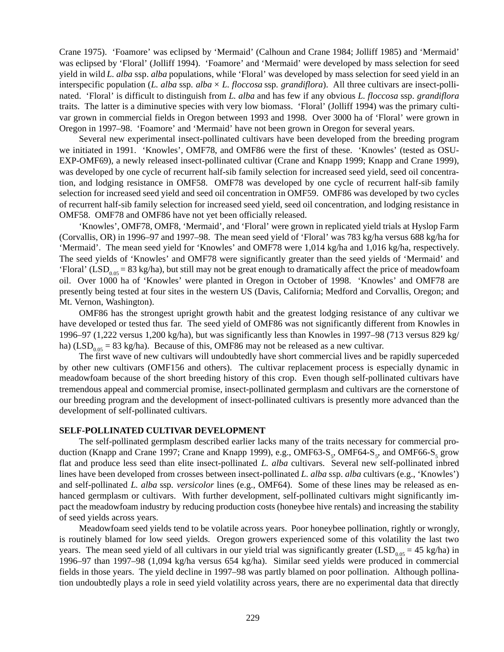Crane 1975). 'Foamore' was eclipsed by 'Mermaid' (Calhoun and Crane 1984; Jolliff 1985) and 'Mermaid' was eclipsed by 'Floral' (Jolliff 1994). 'Foamore' and 'Mermaid' were developed by mass selection for seed yield in wild *L. alba* ssp. *alba* populations, while 'Floral' was developed by mass selection for seed yield in an interspecific population (*L. alba* ssp. *alba* × *L. floccosa* ssp. *grandiflora*). All three cultivars are insect-pollinated. 'Floral' is difficult to distinguish from *L. alba* and has few if any obvious *L. floccosa* ssp. *grandiflora* traits. The latter is a diminutive species with very low biomass. 'Floral' (Jolliff 1994) was the primary cultivar grown in commercial fields in Oregon between 1993 and 1998. Over 3000 ha of 'Floral' were grown in Oregon in 1997–98. 'Foamore' and 'Mermaid' have not been grown in Oregon for several years.

Several new experimental insect-pollinated cultivars have been developed from the breeding program we initiated in 1991. 'Knowles', OMF78, and OMF86 were the first of these. 'Knowles' (tested as OSU-EXP-OMF69), a newly released insect-pollinated cultivar (Crane and Knapp 1999; Knapp and Crane 1999), was developed by one cycle of recurrent half-sib family selection for increased seed yield, seed oil concentration, and lodging resistance in OMF58. OMF78 was developed by one cycle of recurrent half-sib family selection for increased seed yield and seed oil concentration in OMF59. OMF86 was developed by two cycles of recurrent half-sib family selection for increased seed yield, seed oil concentration, and lodging resistance in OMF58. OMF78 and OMF86 have not yet been officially released.

'Knowles', OMF78, OMF8, 'Mermaid', and 'Floral' were grown in replicated yield trials at Hyslop Farm (Corvallis, OR) in 1996–97 and 1997–98. The mean seed yield of 'Floral' was 783 kg/ha versus 688 kg/ha for 'Mermaid'. The mean seed yield for 'Knowles' and OMF78 were 1,014 kg/ha and 1,016 kg/ha, respectively. The seed yields of 'Knowles' and OMF78 were significantly greater than the seed yields of 'Mermaid' and 'Floral' (LSD<sub>0.05</sub> = 83 kg/ha), but still may not be great enough to dramatically affect the price of meadowfoam oil. Over 1000 ha of 'Knowles' were planted in Oregon in October of 1998. 'Knowles' and OMF78 are presently being tested at four sites in the western US (Davis, California; Medford and Corvallis, Oregon; and Mt. Vernon, Washington).

OMF86 has the strongest upright growth habit and the greatest lodging resistance of any cultivar we have developed or tested thus far. The seed yield of OMF86 was not significantly different from Knowles in 1996–97 (1,222 versus 1,200 kg/ha), but was significantly less than Knowles in 1997–98 (713 versus 829 kg/ ha) (LSD<sub>0.05</sub> = 83 kg/ha). Because of this, OMF86 may not be released as a new cultivar.

The first wave of new cultivars will undoubtedly have short commercial lives and be rapidly superceded by other new cultivars (OMF156 and others). The cultivar replacement process is especially dynamic in meadowfoam because of the short breeding history of this crop. Even though self-pollinated cultivars have tremendous appeal and commercial promise, insect-pollinated germplasm and cultivars are the cornerstone of our breeding program and the development of insect-pollinated cultivars is presently more advanced than the development of self-pollinated cultivars.

## **SELF-POLLINATED CULTIVAR DEVELOPMENT**

The self-pollinated germplasm described earlier lacks many of the traits necessary for commercial production (Knapp and Crane 1997; Crane and Knapp 1999), e.g., OMF63-S<sub>5</sub>, OMF64-S<sub>5</sub>, and OMF66-S<sub>5</sub> grow flat and produce less seed than elite insect-pollinated *L. alba* cultivars. Several new self-pollinated inbred lines have been developed from crosses between insect-pollinated *L. alba* ssp. *alba* cultivars (e.g., 'Knowles') and self-pollinated *L. alba* ssp. *versicolor* lines (e.g., OMF64). Some of these lines may be released as enhanced germplasm or cultivars. With further development, self-pollinated cultivars might significantly impact the meadowfoam industry by reducing production costs (honeybee hive rentals) and increasing the stability of seed yields across years.

Meadowfoam seed yields tend to be volatile across years. Poor honeybee pollination, rightly or wrongly, is routinely blamed for low seed yields. Oregon growers experienced some of this volatility the last two years. The mean seed yield of all cultivars in our yield trial was significantly greater (LSD<sub>0.05</sub> = 45 kg/ha) in 1996–97 than 1997–98 (1,094 kg/ha versus 654 kg/ha). Similar seed yields were produced in commercial fields in those years. The yield decline in 1997–98 was partly blamed on poor pollination. Although pollination undoubtedly plays a role in seed yield volatility across years, there are no experimental data that directly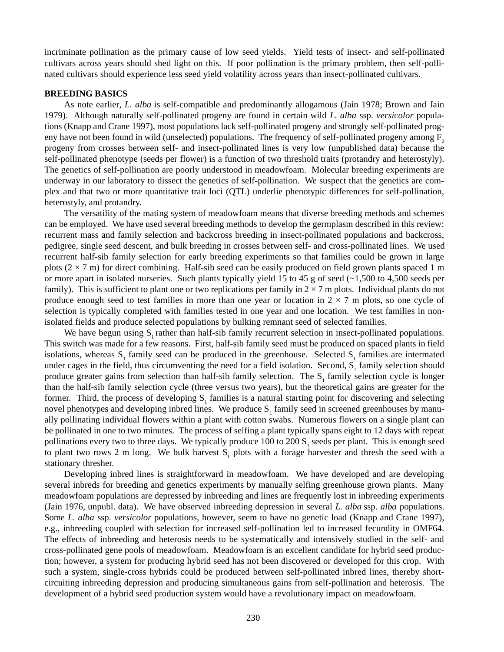incriminate pollination as the primary cause of low seed yields. Yield tests of insect- and self-pollinated cultivars across years should shed light on this. If poor pollination is the primary problem, then self-pollinated cultivars should experience less seed yield volatility across years than insect-pollinated cultivars.

#### **BREEDING BASICS**

As note earlier, *L. alba* is self-compatible and predominantly allogamous (Jain 1978; Brown and Jain 1979). Although naturally self-pollinated progeny are found in certain wild *L. alba* ssp. *versicolor* populations (Knapp and Crane 1997), most populations lack self-pollinated progeny and strongly self-pollinated progeny have not been found in wild (unselected) populations. The frequency of self-pollinated progeny among  $F<sub>2</sub>$ progeny from crosses between self- and insect-pollinated lines is very low (unpublished data) because the self-pollinated phenotype (seeds per flower) is a function of two threshold traits (protandry and heterostyly). The genetics of self-pollination are poorly understood in meadowfoam. Molecular breeding experiments are underway in our laboratory to dissect the genetics of self-pollination. We suspect that the genetics are complex and that two or more quantitative trait loci (QTL) underlie phenotypic differences for self-pollination, heterostyly, and protandry.

The versatility of the mating system of meadowfoam means that diverse breeding methods and schemes can be employed. We have used several breeding methods to develop the germplasm described in this review: recurrent mass and family selection and backcross breeding in insect-pollinated populations and backcross, pedigree, single seed descent, and bulk breeding in crosses between self- and cross-pollinated lines. We used recurrent half-sib family selection for early breeding experiments so that families could be grown in large plots  $(2 \times 7 \text{ m})$  for direct combining. Half-sib seed can be easily produced on field grown plants spaced 1 m or more apart in isolated nurseries. Such plants typically yield 15 to 45 g of seed  $(-1,500)$  to 4,500 seeds per family). This is sufficient to plant one or two replications per family in  $2 \times 7$  m plots. Individual plants do not produce enough seed to test families in more than one year or location in  $2 \times 7$  m plots, so one cycle of selection is typically completed with families tested in one year and one location. We test families in nonisolated fields and produce selected populations by bulking remnant seed of selected families.

We have begun using  $S_1$  rather than half-sib family recurrent selection in insect-pollinated populations. This switch was made for a few reasons. First, half-sib family seed must be produced on spaced plants in field isolations, whereas  $S_1$  family seed can be produced in the greenhouse. Selected  $S_1$  families are intermated under cages in the field, thus circumventing the need for a field isolation. Second,  $S<sub>1</sub>$  family selection should produce greater gains from selection than half-sib family selection. The  $S_1$  family selection cycle is longer than the half-sib family selection cycle (three versus two years), but the theoretical gains are greater for the former. Third, the process of developing  $S<sub>1</sub>$  families is a natural starting point for discovering and selecting novel phenotypes and developing inbred lines. We produce  $S_1$  family seed in screened greenhouses by manually pollinating individual flowers within a plant with cotton swabs. Numerous flowers on a single plant can be pollinated in one to two minutes. The process of selfing a plant typically spans eight to 12 days with repeat pollinations every two to three days. We typically produce  $100$  to  $200$  S<sub>1</sub> seeds per plant. This is enough seed to plant two rows 2 m long. We bulk harvest  $S<sub>1</sub>$  plots with a forage harvester and thresh the seed with a stationary thresher.

Developing inbred lines is straightforward in meadowfoam. We have developed and are developing several inbreds for breeding and genetics experiments by manually selfing greenhouse grown plants. Many meadowfoam populations are depressed by inbreeding and lines are frequently lost in inbreeding experiments (Jain 1976, unpubl. data). We have observed inbreeding depression in several *L. alba* ssp. *alba* populations. Some *L. alba* ssp. *versicolor* populations, however, seem to have no genetic load (Knapp and Crane 1997), e.g., inbreeding coupled with selection for increased self-pollination led to increased fecundity in OMF64. The effects of inbreeding and heterosis needs to be systematically and intensively studied in the self- and cross-pollinated gene pools of meadowfoam. Meadowfoam is an excellent candidate for hybrid seed production; however, a system for producing hybrid seed has not been discovered or developed for this crop. With such a system, single-cross hybrids could be produced between self-pollinated inbred lines, thereby shortcircuiting inbreeding depression and producing simultaneous gains from self-pollination and heterosis. The development of a hybrid seed production system would have a revolutionary impact on meadowfoam.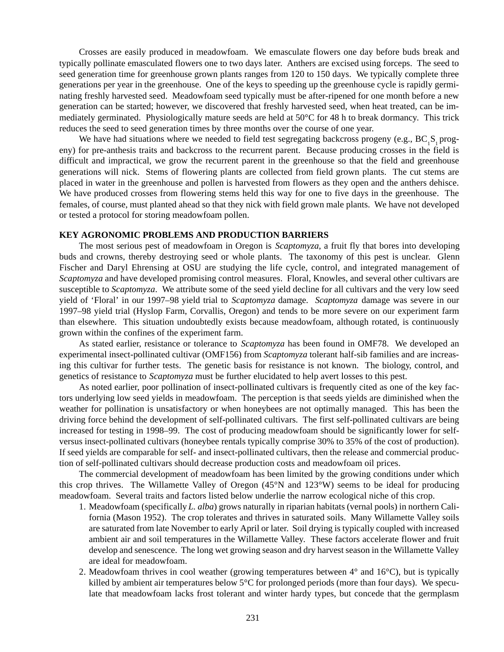Crosses are easily produced in meadowfoam. We emasculate flowers one day before buds break and typically pollinate emasculated flowers one to two days later. Anthers are excised using forceps. The seed to seed generation time for greenhouse grown plants ranges from 120 to 150 days. We typically complete three generations per year in the greenhouse. One of the keys to speeding up the greenhouse cycle is rapidly germinating freshly harvested seed. Meadowfoam seed typically must be after-ripened for one month before a new generation can be started; however, we discovered that freshly harvested seed, when heat treated, can be immediately germinated. Physiologically mature seeds are held at 50°C for 48 h to break dormancy. This trick reduces the seed to seed generation times by three months over the course of one year.

We have had situations where we needed to field test segregating backcross progeny (e.g.,  $BC_1S_1$  progeny) for pre-anthesis traits and backcross to the recurrent parent. Because producing crosses in the field is difficult and impractical, we grow the recurrent parent in the greenhouse so that the field and greenhouse generations will nick. Stems of flowering plants are collected from field grown plants. The cut stems are placed in water in the greenhouse and pollen is harvested from flowers as they open and the anthers dehisce. We have produced crosses from flowering stems held this way for one to five days in the greenhouse. The females, of course, must planted ahead so that they nick with field grown male plants. We have not developed or tested a protocol for storing meadowfoam pollen.

#### **KEY AGRONOMIC PROBLEMS AND PRODUCTION BARRIERS**

The most serious pest of meadowfoam in Oregon is *Scaptomyza*, a fruit fly that bores into developing buds and crowns, thereby destroying seed or whole plants. The taxonomy of this pest is unclear. Glenn Fischer and Daryl Ehrensing at OSU are studying the life cycle, control, and integrated management of *Scaptomyza* and have developed promising control measures. Floral, Knowles, and several other cultivars are susceptible to *Scaptomyza*. We attribute some of the seed yield decline for all cultivars and the very low seed yield of 'Floral' in our 1997–98 yield trial to *Scaptomyza* damage. *Scaptomyza* damage was severe in our 1997–98 yield trial (Hyslop Farm, Corvallis, Oregon) and tends to be more severe on our experiment farm than elsewhere. This situation undoubtedly exists because meadowfoam, although rotated, is continuously grown within the confines of the experiment farm.

As stated earlier, resistance or tolerance to *Scaptomyza* has been found in OMF78. We developed an experimental insect-pollinated cultivar (OMF156) from *Scaptomyza* tolerant half-sib families and are increasing this cultivar for further tests. The genetic basis for resistance is not known. The biology, control, and genetics of resistance to *Scaptomyza* must be further elucidated to help avert losses to this pest.

As noted earlier, poor pollination of insect-pollinated cultivars is frequently cited as one of the key factors underlying low seed yields in meadowfoam. The perception is that seeds yields are diminished when the weather for pollination is unsatisfactory or when honeybees are not optimally managed. This has been the driving force behind the development of self-pollinated cultivars. The first self-pollinated cultivars are being increased for testing in 1998–99. The cost of producing meadowfoam should be significantly lower for selfversus insect-pollinated cultivars (honeybee rentals typically comprise 30% to 35% of the cost of production). If seed yields are comparable for self- and insect-pollinated cultivars, then the release and commercial production of self-pollinated cultivars should decrease production costs and meadowfoam oil prices.

The commercial development of meadowfoam has been limited by the growing conditions under which this crop thrives. The Willamette Valley of Oregon (45°N and 123°W) seems to be ideal for producing meadowfoam. Several traits and factors listed below underlie the narrow ecological niche of this crop.

- 1. Meadowfoam (specifically *L. alba*) grows naturally in riparian habitats (vernal pools) in northern California (Mason 1952). The crop tolerates and thrives in saturated soils. Many Willamette Valley soils are saturated from late November to early April or later. Soil drying is typically coupled with increased ambient air and soil temperatures in the Willamette Valley. These factors accelerate flower and fruit develop and senescence. The long wet growing season and dry harvest season in the Willamette Valley are ideal for meadowfoam.
- 2. Meadowfoam thrives in cool weather (growing temperatures between 4° and 16°C), but is typically killed by ambient air temperatures below 5°C for prolonged periods (more than four days). We speculate that meadowfoam lacks frost tolerant and winter hardy types, but concede that the germplasm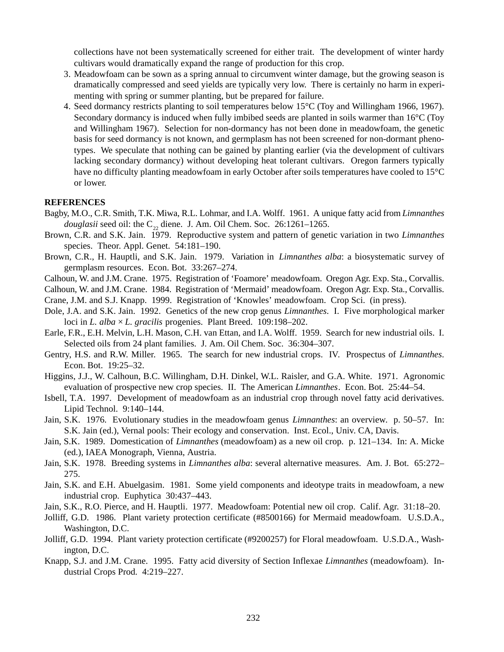collections have not been systematically screened for either trait. The development of winter hardy cultivars would dramatically expand the range of production for this crop.

- 3. Meadowfoam can be sown as a spring annual to circumvent winter damage, but the growing season is dramatically compressed and seed yields are typically very low. There is certainly no harm in experimenting with spring or summer planting, but be prepared for failure.
- 4. Seed dormancy restricts planting to soil temperatures below 15°C (Toy and Willingham 1966, 1967). Secondary dormancy is induced when fully imbibed seeds are planted in soils warmer than 16°C (Toy and Willingham 1967). Selection for non-dormancy has not been done in meadowfoam, the genetic basis for seed dormancy is not known, and germplasm has not been screened for non-dormant phenotypes. We speculate that nothing can be gained by planting earlier (via the development of cultivars lacking secondary dormancy) without developing heat tolerant cultivars. Oregon farmers typically have no difficulty planting meadowfoam in early October after soils temperatures have cooled to 15°C or lower.

### **REFERENCES**

- Bagby, M.O., C.R. Smith, T.K. Miwa, R.L. Lohmar, and I.A. Wolff. 1961. A unique fatty acid from *Limnanthes douglasii* seed oil: the  $C_{22}$  diene. J. Am. Oil Chem. Soc. 26:1261–1265.
- Brown, C.R. and S.K. Jain. 1979. Reproductive system and pattern of genetic variation in two *Limnanthes* species. Theor. Appl. Genet. 54:181–190.
- Brown, C.R., H. Hauptli, and S.K. Jain. 1979. Variation in *Limnanthes alba*: a biosystematic survey of germplasm resources. Econ. Bot. 33:267–274.
- Calhoun, W. and J.M. Crane. 1975. Registration of 'Foamore' meadowfoam. Oregon Agr. Exp. Sta., Corvallis.
- Calhoun, W. and J.M. Crane. 1984. Registration of 'Mermaid' meadowfoam. Oregon Agr. Exp. Sta., Corvallis.
- Crane, J.M. and S.J. Knapp. 1999. Registration of 'Knowles' meadowfoam. Crop Sci. (in press).
- Dole, J.A. and S.K. Jain. 1992. Genetics of the new crop genus *Limnanthes*. I. Five morphological marker loci in *L. alba* × *L. gracilis* progenies. Plant Breed. 109:198–202.
- Earle, F.R., E.H. Melvin, L.H. Mason, C.H. van Ettan, and I.A. Wolff. 1959. Search for new industrial oils. I. Selected oils from 24 plant families. J. Am. Oil Chem. Soc. 36:304–307.
- Gentry, H.S. and R.W. Miller. 1965. The search for new industrial crops. IV. Prospectus of *Limnanthes*. Econ. Bot. 19:25–32.
- Higgins, J.J., W. Calhoun, B.C. Willingham, D.H. Dinkel, W.L. Raisler, and G.A. White. 1971. Agronomic evaluation of prospective new crop species. II. The American *Limnanthes*. Econ. Bot. 25:44–54.
- Isbell, T.A. 1997. Development of meadowfoam as an industrial crop through novel fatty acid derivatives. Lipid Technol. 9:140–144.
- Jain, S.K. 1976. Evolutionary studies in the meadowfoam genus *Limnanthes*: an overview. p. 50–57. In: S.K. Jain (ed.), Vernal pools: Their ecology and conservation. Inst. Ecol., Univ. CA, Davis.
- Jain, S.K. 1989. Domestication of *Limnanthes* (meadowfoam) as a new oil crop. p. 121–134. In: A. Micke (ed.), IAEA Monograph, Vienna, Austria.
- Jain, S.K. 1978. Breeding systems in *Limnanthes alba*: several alternative measures. Am. J. Bot. 65:272– 275.
- Jain, S.K. and E.H. Abuelgasim. 1981. Some yield components and ideotype traits in meadowfoam, a new industrial crop. Euphytica 30:437–443.
- Jain, S.K., R.O. Pierce, and H. Hauptli. 1977. Meadowfoam: Potential new oil crop. Calif. Agr. 31:18–20.
- Jolliff, G.D. 1986. Plant variety protection certificate (#8500166) for Mermaid meadowfoam. U.S.D.A., Washington, D.C.
- Jolliff, G.D. 1994. Plant variety protection certificate (#9200257) for Floral meadowfoam. U.S.D.A., Washington, D.C.
- Knapp, S.J. and J.M. Crane. 1995. Fatty acid diversity of Section Inflexae *Limnanthes* (meadowfoam). Industrial Crops Prod. 4:219–227.